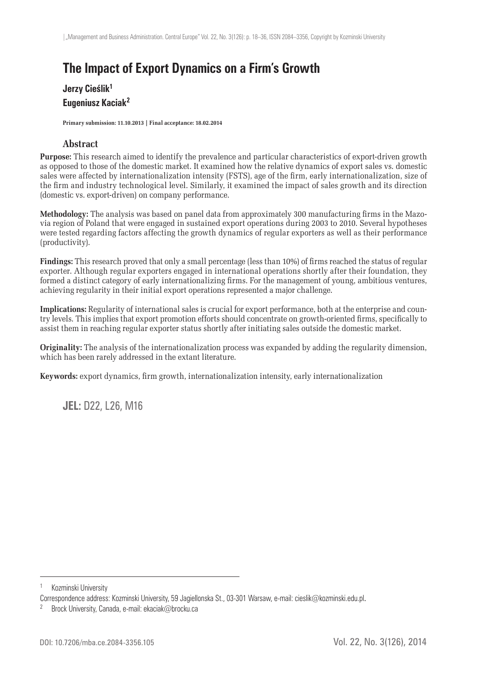# **The Impact of Export Dynamics on a Firm's Growth**

## **Jerzy Cieślik1 Eugeniusz Kaciak<sup>2</sup>**

**Primary submission: 11.10.2013 | Final acceptance: 18.02.2014**

#### **Abstract**

**Purpose:** This research aimed to identify the prevalence and particular characteristics of export-driven growth as opposed to those of the domestic market. It examined how the relative dynamics of export sales vs. domestic sales were affected by internationalization intensity (FSTS), age of the firm, early internationalization, size of the firm and industry technological level. Similarly, it examined the impact of sales growth and its direction (domestic vs. export-driven) on company performance.

**Methodology:** The analysis was based on panel data from approximately 300 manufacturing firms in the Mazovia region of Poland that were engaged in sustained export operations during 2003 to 2010. Several hypotheses were tested regarding factors affecting the growth dynamics of regular exporters as well as their performance (productivity).

**Findings:** This research proved that only a small percentage (less than 10%) of firms reached the status of regular exporter. Although regular exporters engaged in international operations shortly after their foundation, they formed a distinct category of early internationalizing firms. For the management of young, ambitious ventures, achieving regularity in their initial export operations represented a major challenge.

**Implications:** Regularity of international sales is crucial for export performance, both at the enterprise and country levels. This implies that export promotion efforts should concentrate on growth-oriented firms, specifically to assist them in reaching regular exporter status shortly after initiating sales outside the domestic market.

**Originality:** The analysis of the internationalization process was expanded by adding the regularity dimension, which has been rarely addressed in the extant literature.

Keywords: export dynamics, firm growth, internationalization intensity, early internationalization

**JEL:** D22, L26, M16

Kozminski University

Correspondence address: Kozminski University, 59 Jagiellonska St., 03-301 Warsaw, e-mail: cieslik@kozminski.edu.pl.

<sup>&</sup>lt;sup>2</sup> Brock University, Canada, e-mail: ekaciak@brocku.ca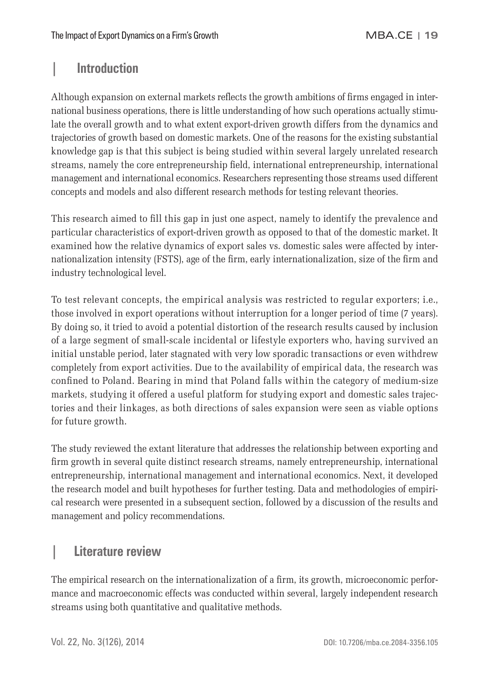# **| Introduction**

Although expansion on external markets reflects the growth ambitions of firms engaged in international business operations, there is little understanding of how such operations actually stimulate the overall growth and to what extent export-driven growth differs from the dynamics and trajectories of growth based on domestic markets. One of the reasons for the existing substantial knowledge gap is that this subject is being studied within several largely unrelated research streams, namely the core entrepreneurship field, international entrepreneurship, international management and international economics. Researchers representing those streams used different concepts and models and also different research methods for testing relevant theories.

This research aimed to fill this gap in just one aspect, namely to identify the prevalence and particular characteristics of export-driven growth as opposed to that of the domestic market. It examined how the relative dynamics of export sales vs. domestic sales were affected by internationalization intensity (FSTS), age of the firm, early internationalization, size of the firm and industry technological level.

To test relevant concepts, the empirical analysis was restricted to regular exporters; i.e., those involved in export operations without interruption for a longer period of time (7 years). By doing so, it tried to avoid a potential distortion of the research results caused by inclusion of a large segment of small-scale incidental or lifestyle exporters who, having survived an initial unstable period, later stagnated with very low sporadic transactions or even withdrew completely from export activities. Due to the availability of empirical data, the research was confined to Poland. Bearing in mind that Poland falls within the category of medium-size markets, studying it offered a useful platform for studying export and domestic sales trajectories and their linkages, as both directions of sales expansion were seen as viable options for future growth.

The study reviewed the extant literature that addresses the relationship between exporting and firm growth in several quite distinct research streams, namely entrepreneurship, international entrepreneurship, international management and international economics. Next, it developed the research model and built hypotheses for further testing. Data and methodologies of empirical research were presented in a subsequent section, followed by a discussion of the results and management and policy recommendations.

# **| Literature review**

The empirical research on the internationalization of a firm, its growth, microeconomic performance and macroeconomic effects was conducted within several, largely independent research streams using both quantitative and qualitative methods.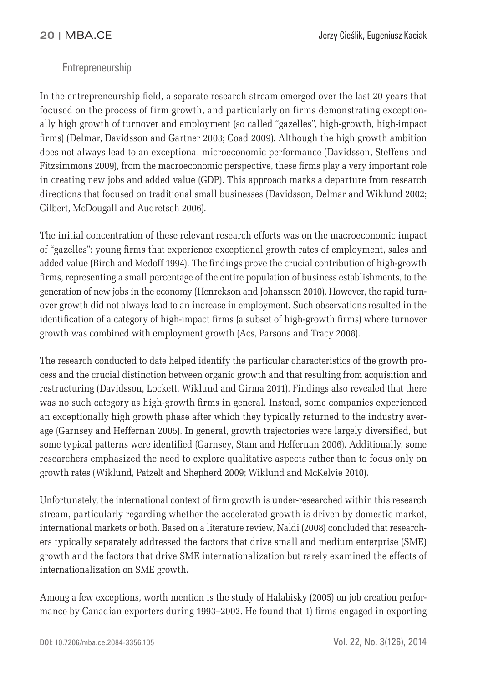## **Entrepreneurship**

In the entrepreneurship field, a separate research stream emerged over the last 20 years that focused on the process of firm growth, and particularly on firms demonstrating exceptionally high growth of turnover and employment (so called "gazelles", high-growth, high-impact firms) (Delmar, Davidsson and Gartner 2003; Coad 2009). Although the high growth ambition does not always lead to an exceptional microeconomic performance (Davidsson, Steffens and Fitzsimmons 2009), from the macroeconomic perspective, these firms play a very important role in creating new jobs and added value (GDP). This approach marks a departure from research directions that focused on traditional small businesses (Davidsson, Delmar and Wiklund 2002; Gilbert, McDougall and Audretsch 2006).

The initial concentration of these relevant research efforts was on the macroeconomic impact of "gazelles": young firms that experience exceptional growth rates of employment, sales and added value (Birch and Medoff 1994). The findings prove the crucial contribution of high-growth firms, representing a small percentage of the entire population of business establishments, to the generation of new jobs in the economy (Henrekson and Johansson 2010). However, the rapid turnover growth did not always lead to an increase in employment. Such observations resulted in the identification of a category of high-impact firms (a subset of high-growth firms) where turnover growth was combined with employment growth (Acs, Parsons and Tracy 2008).

The research conducted to date helped identify the particular characteristics of the growth process and the crucial distinction between organic growth and that resulting from acquisition and restructuring (Davidsson, Lockett, Wiklund and Girma 2011). Findings also revealed that there was no such category as high-growth firms in general. Instead, some companies experienced an exceptionally high growth phase after which they typically returned to the industry average (Garnsey and Heffernan 2005). In general, growth trajectories were largely diversified, but some typical patterns were identified (Garnsey, Stam and Heffernan 2006). Additionally, some researchers emphasized the need to explore qualitative aspects rather than to focus only on growth rates (Wiklund, Patzelt and Shepherd 2009; Wiklund and McKelvie 2010).

Unfortunately, the international context of firm growth is under-researched within this research stream, particularly regarding whether the accelerated growth is driven by domestic market, international markets or both. Based on a literature review, Naldi (2008) concluded that researchers typically separately addressed the factors that drive small and medium enterprise (SME) growth and the factors that drive SME internationalization but rarely examined the effects of internationalization on SME growth.

Among a few exceptions, worth mention is the study of Halabisky (2005) on job creation performance by Canadian exporters during 1993–2002. He found that 1 firms engaged in exporting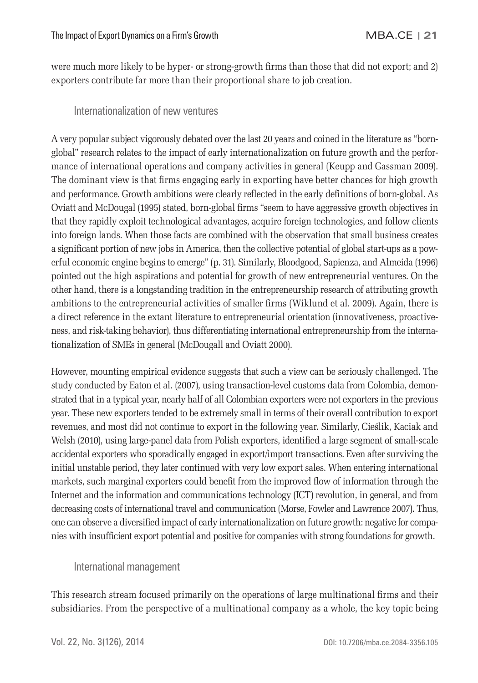were much more likely to be hyper- or strong-growth firms than those that did not export; and 2) exporters contribute far more than their proportional share to job creation.

## Internationalization of new ventures

A very popular subject vigorously debated over the last 20 years and coined in the literature as "bornglobal" research relates to the impact of early internationalization on future growth and the performance of international operations and company activities in general (Keupp and Gassman 2009). The dominant view is that firms engaging early in exporting have better chances for high growth and performance. Growth ambitions were clearly reflected in the early definitions of born-global. As Oviatt and McDougal (1995) stated, born-global firms "seem to have aggressive growth objectives in that they rapidly exploit technological advantages, acquire foreign technologies, and follow clients into foreign lands. When those facts are combined with the observation that small business creates a significant portion of new jobs in America, then the collective potential of global start-ups as a powerful economic engine begins to emerge" (p. 31). Similarly, Bloodgood, Sapienza, and Almeida (1996) pointed out the high aspirations and potential for growth of new entrepreneurial ventures. On the other hand, there is a longstanding tradition in the entrepreneurship research of attributing growth ambitions to the entrepreneurial activities of smaller firms (Wiklund et al. 2009). Again, there is a direct reference in the extant literature to entrepreneurial orientation (innovativeness, proactiveness, and risk-taking behavior), thus differentiating international entrepreneurship from the internationalization of SMEs in general (McDougall and Oviatt 2000).

However, mounting empirical evidence suggests that such a view can be seriously challenged. The study conducted by Eaton et al. (2007), using transaction-level customs data from Colombia, demonstrated that in a typical year, nearly half of all Colombian exporters were not exporters in the previous year. These new exporters tended to be extremely small in terms of their overall contribution to export revenues, and most did not continue to export in the following year. Similarly, Cieślik, Kaciak and Welsh (2010), using large-panel data from Polish exporters, identified a large segment of small-scale accidental exporters who sporadically engaged in export/import transactions. Even after surviving the initial unstable period, they later continued with very low export sales. When entering international markets, such marginal exporters could benefit from the improved flow of information through the Internet and the information and communications technology (ICT) revolution, in general, and from decreasing costs of international travel and communication (Morse, Fowler and Lawrence 2007). Thus, one can observe a diversified impact of early internationalization on future growth: negative for companies with insufficient export potential and positive for companies with strong foundations for growth.

## International management

This research stream focused primarily on the operations of large multinational firms and their subsidiaries. From the perspective of a multinational company as a whole, the key topic being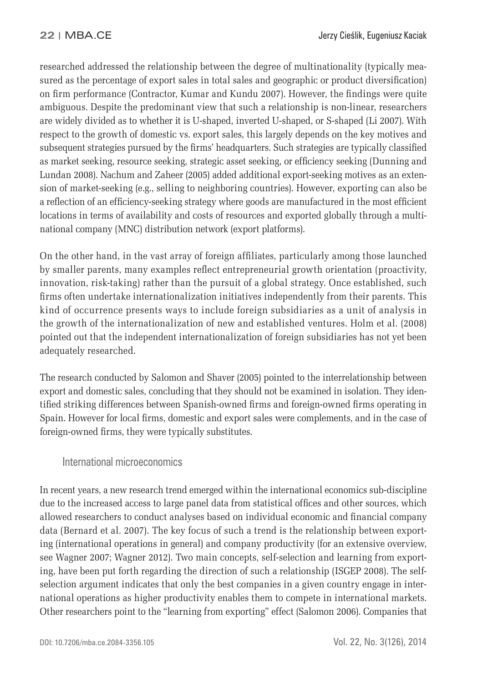researched addressed the relationship between the degree of multinationality (typically measured as the percentage of export sales in total sales and geographic or product diversification) on firm performance (Contractor, Kumar and Kundu 2007). However, the findings were quite ambiguous. Despite the predominant view that such a relationship is non-linear, researchers are widely divided as to whether it is U-shaped, inverted U-shaped, or S-shaped (Li 2007). With respect to the growth of domestic vs. export sales, this largely depends on the key motives and subsequent strategies pursued by the firms' headquarters. Such strategies are typically classified as market seeking, resource seeking, strategic asset seeking, or efficiency seeking (Dunning and Lundan 2008). Nachum and Zaheer (2005) added additional export-seeking motives as an extension of market-seeking (e.g., selling to neighboring countries). However, exporting can also be a reflection of an efficiency-seeking strategy where goods are manufactured in the most efficient locations in terms of availability and costs of resources and exported globally through a multinational company (MNC) distribution network (export platforms).

On the other hand, in the vast array of foreign affiliates, particularly among those launched by smaller parents, many examples reflect entrepreneurial growth orientation (proactivity, innovation, risk-taking) rather than the pursuit of a global strategy. Once established, such firms often undertake internationalization initiatives independently from their parents. This kind of occurrence presents ways to include foreign subsidiaries as a unit of analysis in the growth of the internationalization of new and established ventures. Holm et al. (2008) pointed out that the independent internationalization of foreign subsidiaries has not yet been adequately researched.

The research conducted by Salomon and Shaver (2005) pointed to the interrelationship between export and domestic sales, concluding that they should not be examined in isolation. They identified striking differences between Spanish-owned firms and foreign-owned firms operating in Spain. However for local firms, domestic and export sales were complements, and in the case of foreign-owned firms, they were typically substitutes.

## International microeconomics

In recent years, a new research trend emerged within the international economics sub-discipline due to the increased access to large panel data from statistical offices and other sources, which allowed researchers to conduct analyses based on individual economic and financial company data (Bernard et al. 2007). The key focus of such a trend is the relationship between exporting (international operations in general) and company productivity (for an extensive overview, see Wagner 2007; Wagner 2012). Two main concepts, self-selection and learning from exporting, have been put forth regarding the direction of such a relationship (ISGEP 2008). The selfselection argument indicates that only the best companies in a given country engage in international operations as higher productivity enables them to compete in international markets. Other researchers point to the "learning from exporting" effect (Salomon 2006). Companies that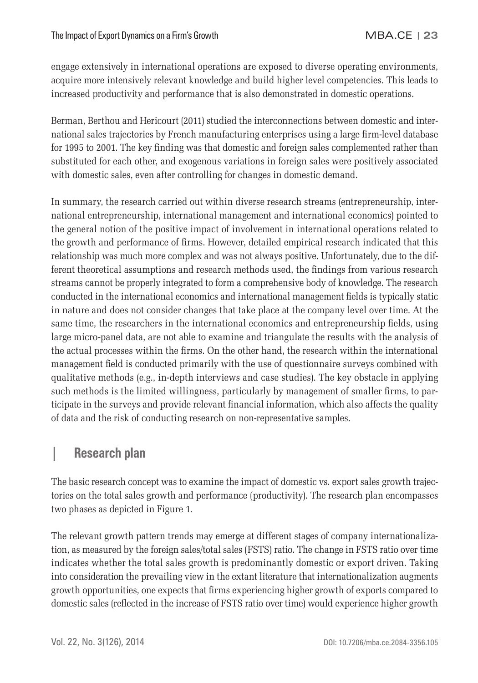engage extensively in international operations are exposed to diverse operating environments, acquire more intensively relevant knowledge and build higher level competencies. This leads to increased productivity and performance that is also demonstrated in domestic operations.

Berman, Berthou and Hericourt (2011) studied the interconnections between domestic and international sales trajectories by French manufacturing enterprises using a large firm-level database for 1995 to 2001. The key finding was that domestic and foreign sales complemented rather than substituted for each other, and exogenous variations in foreign sales were positively associated with domestic sales, even after controlling for changes in domestic demand.

In summary, the research carried out within diverse research streams (entrepreneurship, international entrepreneurship, international management and international economics) pointed to the general notion of the positive impact of involvement in international operations related to the growth and performance of firms. However, detailed empirical research indicated that this relationship was much more complex and was not always positive. Unfortunately, due to the different theoretical assumptions and research methods used, the findings from various research streams cannot be properly integrated to form a comprehensive body of knowledge. The research conducted in the international economics and international management fields is typically static in nature and does not consider changes that take place at the company level over time. At the same time, the researchers in the international economics and entrepreneurship fields, using large micro-panel data, are not able to examine and triangulate the results with the analysis of the actual processes within the firms. On the other hand, the research within the international management field is conducted primarily with the use of questionnaire surveys combined with qualitative methods (e.g., in-depth interviews and case studies). The key obstacle in applying such methods is the limited willingness, particularly by management of smaller firms, to participate in the surveys and provide relevant financial information, which also affects the quality of data and the risk of conducting research on non-representative samples.

## **| Research plan**

The basic research concept was to examine the impact of domestic vs. export sales growth trajectories on the total sales growth and performance (productivity). The research plan encompasses two phases as depicted in Figure 1.

The relevant growth pattern trends may emerge at different stages of company internationalization, as measured by the foreign sales/total sales (FSTS) ratio. The change in FSTS ratio over time indicates whether the total sales growth is predominantly domestic or export driven. Taking into consideration the prevailing view in the extant literature that internationalization augments growth opportunities, one expects that firms experiencing higher growth of exports compared to domestic sales (reflected in the increase of FSTS ratio over time) would experience higher growth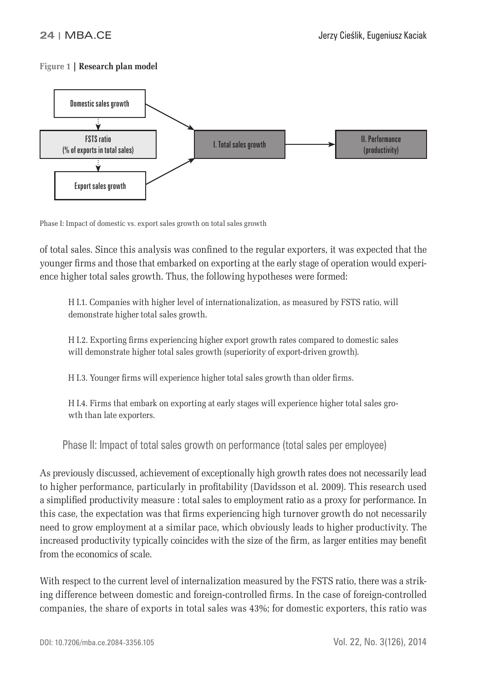## **Figure 1 | Research plan model**



Phase I: Impact of domestic vs. export sales growth on total sales growth

of total sales. Since this analysis was confined to the regular exporters, it was expected that the younger firms and those that embarked on exporting at the early stage of operation would experience higher total sales growth. Thus, the following hypotheses were formed:

H I.1. Companies with higher level of internationalization, as measured by FSTS ratio, will demonstrate higher total sales growth.

H I.2. Exporting firms experiencing higher export growth rates compared to domestic sales will demonstrate higher total sales growth (superiority of export-driven growth).

H I.3. Younger firms will experience higher total sales growth than older firms.

H I.4. Firms that embark on exporting at early stages will experience higher total sales growth than late exporters.

Phase II: Impact of total sales growth on performance (total sales per employee)

As previously discussed, achievement of exceptionally high growth rates does not necessarily lead to higher performance, particularly in profitability (Davidsson et al. 2009). This research used a simplified productivity measure : total sales to employment ratio as a proxy for performance. In this case, the expectation was that firms experiencing high turnover growth do not necessarily need to grow employment at a similar pace, which obviously leads to higher productivity. The increased productivity typically coincides with the size of the firm, as larger entities may benefit from the economics of scale.

With respect to the current level of internalization measured by the FSTS ratio, there was a striking difference between domestic and foreign-controlled firms. In the case of foreign-controlled companies, the share of exports in total sales was 43%; for domestic exporters, this ratio was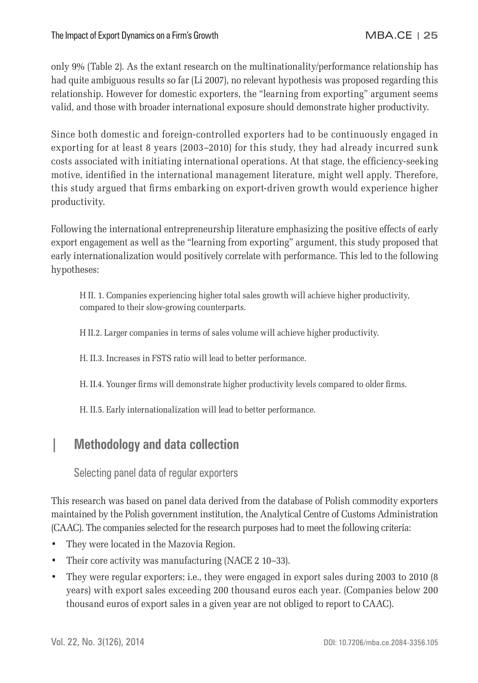only 9% (Table 2). As the extant research on the multinationality/performance relationship has had quite ambiguous results so far (Li 2007), no relevant hypothesis was proposed regarding this relationship. However for domestic exporters, the "learning from exporting" argument seems valid, and those with broader international exposure should demonstrate higher productivity.

Since both domestic and foreign-controlled exporters had to be continuously engaged in exporting for at least 8 years (2003–2010) for this study, they had already incurred sunk costs associated with initiating international operations. At that stage, the efficiency-seeking motive, identified in the international management literature, might well apply. Therefore, this study argued that firms embarking on export-driven growth would experience higher productivity.

Following the international entrepreneurship literature emphasizing the positive effects of early export engagement as well as the "learning from exporting" argument, this study proposed that early internationalization would positively correlate with performance. This led to the following hypotheses:

H II. 1. Companies experiencing higher total sales growth will achieve higher productivity, compared to their slow-growing counterparts.

H II.2. Larger companies in terms of sales volume will achieve higher productivity.

H. II.3. Increases in FSTS ratio will lead to better performance.

H. II.4. Younger firms will demonstrate higher productivity levels compared to older firms.

H. II.5. Early internationalization will lead to better performance.

## **| Methodology and data collection**

Selecting panel data of regular exporters

This research was based on panel data derived from the database of Polish commodity exporters maintained by the Polish government institution, the Analytical Centre of Customs Administration (CAAC). The companies selected for the research purposes had to meet the following criteria:

- They were located in the Mazovia Region.
- Their core activity was manufacturing (NACE 2 10-33).
- They were regular exporters; i.e., they were engaged in export sales during 2003 to 2010 (8 years) with export sales exceeding 200 thousand euros each year. (Companies below 200 thousand euros of export sales in a given year are not obliged to report to CAAC).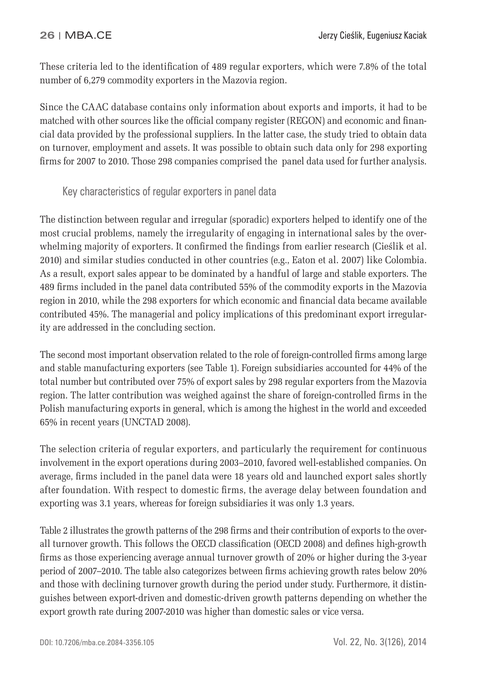These criteria led to the identification of 489 regular exporters, which were 7.8% of the total number of 6,279 commodity exporters in the Mazovia region.

Since the CAAC database contains only information about exports and imports, it had to be matched with other sources like the official company register (REGON) and economic and financial data provided by the professional suppliers. In the latter case, the study tried to obtain data on turnover, employment and assets. It was possible to obtain such data only for 298 exporting firms for 2007 to 2010. Those 298 companies comprised the panel data used for further analysis.

## Key characteristics of regular exporters in panel data

The distinction between regular and irregular (sporadic) exporters helped to identify one of the most crucial problems, namely the irregularity of engaging in international sales by the overwhelming majority of exporters. It confirmed the findings from earlier research (Cieślik et al. 2010) and similar studies conducted in other countries (e.g., Eaton et al. 2007) like Colombia. As a result, export sales appear to be dominated by a handful of large and stable exporters. The 489 firms included in the panel data contributed 55% of the commodity exports in the Mazovia region in 2010, while the 298 exporters for which economic and financial data became available contributed 45%. The managerial and policy implications of this predominant export irregularity are addressed in the concluding section.

The second most important observation related to the role of foreign-controlled firms among large and stable manufacturing exporters (see Table 1). Foreign subsidiaries accounted for 44% of the total number but contributed over 75% of export sales by 298 regular exporters from the Mazovia region. The latter contribution was weighed against the share of foreign-controlled firms in the Polish manufacturing exports in general, which is among the highest in the world and exceeded 65% in recent years (UNCTAD 2008).

The selection criteria of regular exporters, and particularly the requirement for continuous involvement in the export operations during 2003–2010, favored well-established companies. On average, firms included in the panel data were 18 years old and launched export sales shortly after foundation. With respect to domestic firms, the average delay between foundation and exporting was 3.1 years, whereas for foreign subsidiaries it was only 1.3 years.

Table 2 illustrates the growth patterns of the 298 firms and their contribution of exports to the overall turnover growth. This follows the OECD classification (OECD 2008) and defines high-growth firms as those experiencing average annual turnover growth of 20% or higher during the 3-year period of 2007–2010. The table also categorizes between firms achieving growth rates below 20% and those with declining turnover growth during the period under study. Furthermore, it distinguishes between export-driven and domestic-driven growth patterns depending on whether the export growth rate during 2007-2010 was higher than domestic sales or vice versa.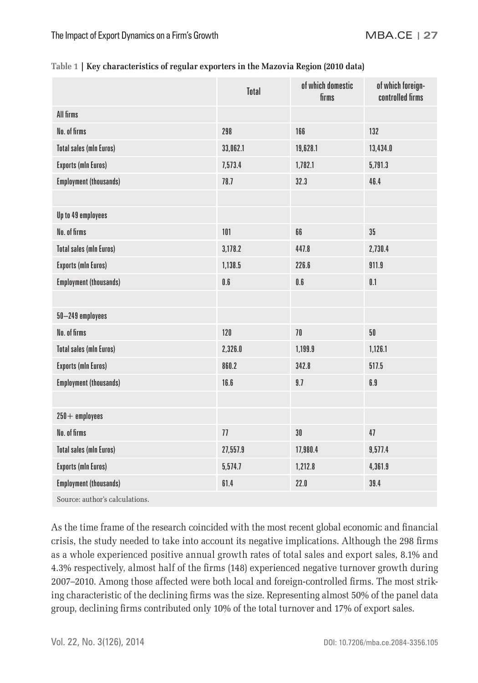|                                | Total    | of which domestic<br>firms | of which foreign-<br>controlled firms |  |
|--------------------------------|----------|----------------------------|---------------------------------------|--|
| All firms                      |          |                            |                                       |  |
| No. of firms                   | 298      | 166                        | 132                                   |  |
| <b>Total sales (mln Euros)</b> | 33,062.1 | 19,628.1                   | 13,434.0                              |  |
| <b>Exports (mln Euros)</b>     | 7,573.4  | 1,782.1                    | 5,791.3                               |  |
| <b>Employment (thousands)</b>  | 78.7     | 32.3                       | 46.4                                  |  |
|                                |          |                            |                                       |  |
| Up to 49 employees             |          |                            |                                       |  |
| No. of firms                   | 101      | 66                         | $35\,$                                |  |
| <b>Total sales (mln Euros)</b> | 3,178.2  | 447.8                      | 2,730.4                               |  |
| <b>Exports (mln Euros)</b>     | 1,138.5  | 226.6                      | 911.9                                 |  |
| <b>Employment (thousands)</b>  | 0.6      | $0.6\,$                    | 0.1                                   |  |
|                                |          |                            |                                       |  |
| 50-249 employees               |          |                            |                                       |  |
| No. of firms                   | 120      | 70                         | 50                                    |  |
| <b>Total sales (mln Euros)</b> | 2,326.0  | 1,199.9                    | 1,126.1                               |  |
| <b>Exports (mln Euros)</b>     | 860.2    | 342.8                      | 517.5                                 |  |
| <b>Employment (thousands)</b>  | 16.6     | 9.7                        | 6.9                                   |  |
|                                |          |                            |                                       |  |
| $250 +$ employees              |          |                            |                                       |  |
| No. of firms                   | 77       | 30                         | 47                                    |  |
| <b>Total sales (mln Euros)</b> | 27,557.9 | 17,980.4                   | 9,577.4                               |  |
| <b>Exports (mln Euros)</b>     | 5,574.7  | 1,212.8                    | 4,361.9                               |  |
| <b>Employment (thousands)</b>  | 61.4     | 22.0                       | 39.4                                  |  |
| Source: author's calculations. |          |                            |                                       |  |

| Table 1   Key characteristics of regular exporters in the Mazovia Region (2010 data) |  |  |  |  |  |  |
|--------------------------------------------------------------------------------------|--|--|--|--|--|--|
|--------------------------------------------------------------------------------------|--|--|--|--|--|--|

As the time frame of the research coincided with the most recent global economic and financial crisis, the study needed to take into account its negative implications. Although the 298 firms as a whole experienced positive annual growth rates of total sales and export sales, 8.1% and 4.3% respectively, almost half of the firms (148) experienced negative turnover growth during 2007–2010. Among those affected were both local and foreign-controlled firms. The most striking characteristic of the declining firms was the size. Representing almost 50% of the panel data group, declining firms contributed only 10% of the total turnover and 17% of export sales.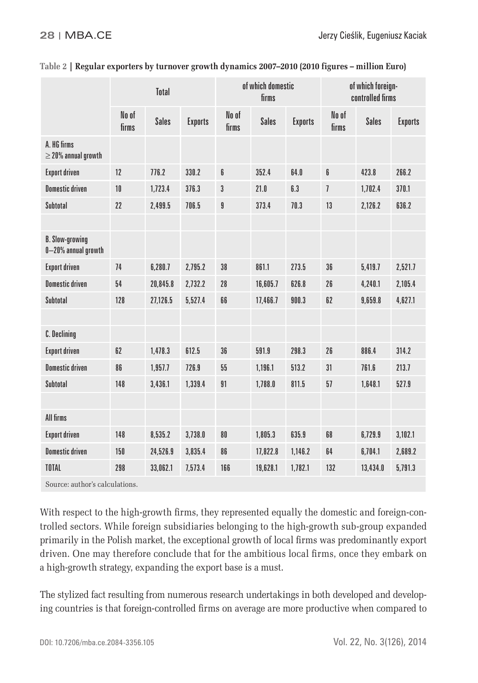|                                               | <b>Total</b>   |              |                | of which domestic<br>firms |              |                | of which foreign-<br>controlled firms |              |                |
|-----------------------------------------------|----------------|--------------|----------------|----------------------------|--------------|----------------|---------------------------------------|--------------|----------------|
|                                               | No of<br>firms | <b>Sales</b> | <b>Exports</b> | No of<br>firms             | <b>Sales</b> | <b>Exports</b> | No of<br>firms                        | <b>Sales</b> | <b>Exports</b> |
| A. HG firms<br>$\geq$ 20% annual growth       |                |              |                |                            |              |                |                                       |              |                |
| <b>Export driven</b>                          | 12             | 776.2        | 330.2          | 6                          | 352.4        | 64.0           | 6                                     | 423.8        | 266.2          |
| <b>Domestic driven</b>                        | 10             | 1,723.4      | 376.3          | 3                          | 21.0         | 6.3            | $\overline{1}$                        | 1,702.4      | 370.1          |
| Subtotal                                      | 22             | 2,499.5      | 706.5          | 9                          | 373.4        | 70.3           | 13                                    | 2,126.2      | 636.2          |
|                                               |                |              |                |                            |              |                |                                       |              |                |
| <b>B. Slow-growing</b><br>0-20% annual growth |                |              |                |                            |              |                |                                       |              |                |
| <b>Export driven</b>                          | 74             | 6,280.7      | 2,795.2        | 38                         | 861.1        | 273.5          | 36                                    | 5,419.7      | 2,521.7        |
| <b>Domestic driven</b>                        | 54             | 20.845.8     | 2.732.2        | 28                         | 16.605.7     | 626.8          | 26                                    | 4,240.1      | 2.105.4        |
| Subtotal                                      | 128            | 27,126.5     | 5,527.4        | 66                         | 17,466.7     | 900.3          | 62                                    | 9,659.8      | 4,627.1        |
|                                               |                |              |                |                            |              |                |                                       |              |                |
| <b>C.</b> Declining                           |                |              |                |                            |              |                |                                       |              |                |
| <b>Export driven</b>                          | 62             | 1,478.3      | 612.5          | 36                         | 591.9        | 298.3          | 26                                    | 886.4        | 314.2          |
| <b>Domestic driven</b>                        | 86             | 1,957.7      | 726.9          | $55\,$                     | 1,196.1      | 513.2          | 31                                    | 761.6        | 213.7          |
| Subtotal                                      | 148            | 3.436.1      | 1.339.4        | 91                         | 1.788.0      | 811.5          | 57                                    | 1,648.1      | 527.9          |
|                                               |                |              |                |                            |              |                |                                       |              |                |
| All firms                                     |                |              |                |                            |              |                |                                       |              |                |
| <b>Export driven</b>                          | 148            | 8,535.2      | 3,738.0        | 80                         | 1,805.3      | 635.9          | 68                                    | 6,729.9      | 3,102.1        |
| <b>Domestic driven</b>                        | 150            | 24.526.9     | 3.835.4        | 86                         | 17,822.8     | 1.146.2        | 64                                    | 6.704.1      | 2.689.2        |
| TOTAL                                         | 298            | 33,062.1     | 7,573.4        | 166                        | 19,628.1     | 1,782.1        | 132                                   | 13,434.0     | 5,791.3        |
| Source: author's calculations.                |                |              |                |                            |              |                |                                       |              |                |

#### **Table 2 | Regular exporters by turnover growth dynamics 2007–2010 (2010 figures – million Euro)**

With respect to the high-growth firms, they represented equally the domestic and foreign-controlled sectors. While foreign subsidiaries belonging to the high-growth sub-group expanded primarily in the Polish market, the exceptional growth of local firms was predominantly export driven. One may therefore conclude that for the ambitious local firms, once they embark on a high-growth strategy, expanding the export base is a must.

The stylized fact resulting from numerous research undertakings in both developed and developing countries is that foreign-controlled firms on average are more productive when compared to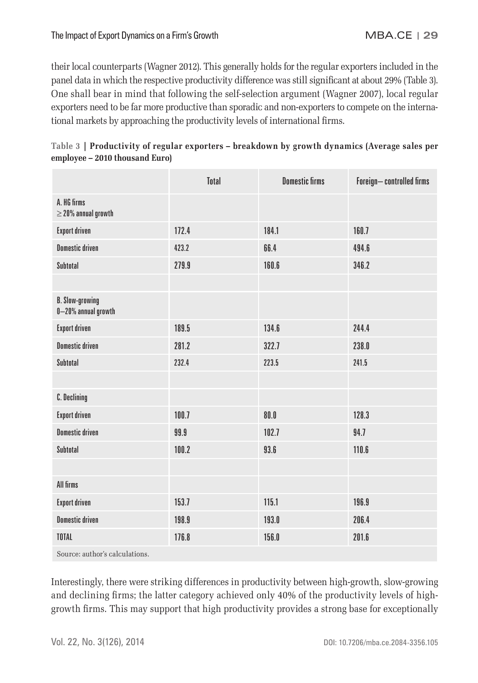their local counterparts (Wagner 2012). This generally holds for the regular exporters included in the panel data in which the respective productivity difference was still significant at about 29% (Table 3). One shall bear in mind that following the self-selection argument (Wagner 2007), local regular exporters need to be far more productive than sporadic and non-exporters to compete on the international markets by approaching the productivity levels of international firms.

|                                               | <b>Total</b> | <b>Domestic firms</b> | Foreign-controlled firms |
|-----------------------------------------------|--------------|-----------------------|--------------------------|
| A. HG firms<br>$\geq$ 20% annual growth       |              |                       |                          |
| <b>Export driven</b>                          | 172.4        | 184.1                 | 160.7                    |
| <b>Domestic driven</b>                        | 423.2        | 66.4                  | 494.6                    |
| Subtotal                                      | 279.9        | 160.6                 | 346.2                    |
|                                               |              |                       |                          |
| <b>B. Slow-growing</b><br>0-20% annual growth |              |                       |                          |
| <b>Export driven</b>                          | 189.5        | 134.6                 | 244.4                    |
| <b>Domestic driven</b>                        | 281.2        | 322.7                 | 238.0                    |
| Subtotal                                      | 232.4        | 223.5                 | 241.5                    |
|                                               |              |                       |                          |
| C. Declining                                  |              |                       |                          |
| <b>Export driven</b>                          | 100.7        | 80.0                  | 128.3                    |
| <b>Domestic driven</b>                        | 99.9         | 102.7                 | 94.7                     |
| Subtotal                                      | 100.2        | 93.6                  | 110.6                    |
|                                               |              |                       |                          |
| All firms                                     |              |                       |                          |
| <b>Export driven</b>                          | 153.7        | 115.1                 | 196.9                    |
| <b>Domestic driven</b>                        | 198.9        | 193.0                 | 206.4                    |
| TOTAL                                         | 176.8        | 156.0                 | 201.6                    |
|                                               |              |                       |                          |

| Table 3   Productivity of regular exporters – breakdown by growth dynamics (Average sales per |  |  |  |
|-----------------------------------------------------------------------------------------------|--|--|--|
| employee – 2010 thousand Euro)                                                                |  |  |  |

Source: author's calculations.

Interestingly, there were striking differences in productivity between high-growth, slow-growing and declining firms; the latter category achieved only 40% of the productivity levels of highgrowth firms. This may support that high productivity provides a strong base for exceptionally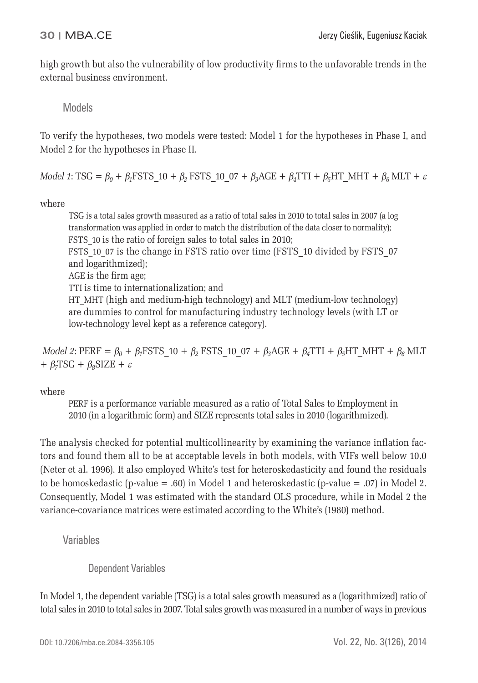high growth but also the vulnerability of low productivity firms to the unfavorable trends in the external business environment.

Models

To verify the hypotheses, two models were tested: Model 1 for the hypotheses in Phase I, and Model 2 for the hypotheses in Phase II.

*Model 1*: TSG =  $\beta_0$  +  $\beta_1$ FSTS 10 +  $\beta_2$  FSTS 10\_07 +  $\beta_3$ AGE +  $\beta_4$ TTI +  $\beta_5$ HT\_MHT +  $\beta_6$ MLT +  $\varepsilon$ 

where

TSG is a total sales growth measured as a ratio of total sales in 2010 to total sales in 2007 (a log transformation was applied in order to match the distribution of the data closer to normality); FSTS 10 is the ratio of foreign sales to total sales in 2010; FSTS 10 07 is the change in FSTS ratio over time (FSTS 10 divided by FSTS 07 and logarithmized); AGE is the firm age; TTI is time to internationalization; and HT\_MHT (high and medium-high technology) and MLT (medium-low technology) are dummies to control for manufacturing industry technology levels (with LT or low-technology level kept as a reference category).

*Model 2*:  $PERF = \beta_0 + \beta_1 FSTS_10 + \beta_2 FSTS_10_07 + \beta_3 AGE + \beta_4 TTI + \beta_5 HT_MHT + \beta_6 MLT$ +  $\beta_7$ TSG +  $\beta_8$ SIZE +  $\varepsilon$ 

where

PERF is a performance variable measured as a ratio of Total Sales to Employment in 2010 (in a logarithmic form) and SIZE represents total sales in 2010 (logarithmized).

The analysis checked for potential multicollinearity by examining the variance inflation factors and found them all to be at acceptable levels in both models, with VIFs well below 10.0 (Neter et al. 1996). It also employed White's test for heteroskedasticity and found the residuals to be homoskedastic (p-value = .60) in Model 1 and heteroskedastic (p-value = .07) in Model 2. Consequently, Model 1 was estimated with the standard OLS procedure, while in Model 2 the variance-covariance matrices were estimated according to the White's (1980) method.

Variables

Dependent Variables

In Model 1, the dependent variable (TSG) is a total sales growth measured as a (logarithmized) ratio of total sales in 2010 to total sales in 2007. Total sales growth was measured in a number of ways in previous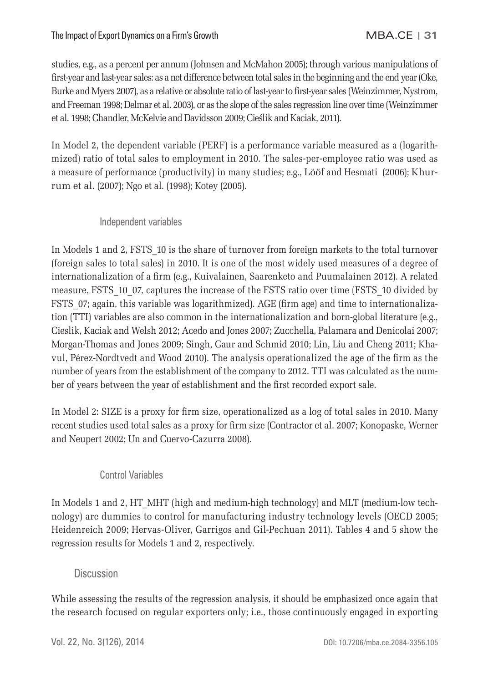studies, e.g., as a percent per annum (Johnsen and McMahon 2005); through various manipulations of first-year and last-year sales: as a net difference between total sales in the beginning and the end year (Oke, Burke and Myers 2007), as a relative or absolute ratio of last-year to first-year sales (Weinzimmer, Nystrom, and Freeman 1998; Delmar et al. 2003), or as the slope of the sales regression line over time (Weinzimmer et al. 1998; Chandler, McKelvie and Davidsson 2009; Cieślik and Kaciak, 2011).

In Model 2, the dependent variable (PERF) is a performance variable measured as a (logarithmized) ratio of total sales to employment in 2010. The sales-per-employee ratio was used as a measure of performance (productivity) in many studies; e.g., Lööf and Hesmati (2006); Khurrum et al. (2007); Ngo et al. (1998); Kotey (2005).

## Independent variables

In Models 1 and 2, FSTS 10 is the share of turnover from foreign markets to the total turnover (foreign sales to total sales) in 2010. It is one of the most widely used measures of a degree of internationalization of a firm (e.g., Kuivalainen, Saarenketo and Puumalainen 2012). A related measure, FSTS 10\_07, captures the increase of the FSTS ratio over time (FSTS 10 divided by FSTS 07; again, this variable was logarithmized). AGE (firm age) and time to internationalization (TTI) variables are also common in the internationalization and born-global literature (e.g., Cieslik, Kaciak and Welsh 2012; Acedo and Jones 2007; Zucchella, Palamara and Denicolai 2007; Morgan-Thomas and Jones 2009; Singh, Gaur and Schmid 2010; Lin, Liu and Cheng 2011; Khavul, Pérez-Nordtvedt and Wood 2010). The analysis operationalized the age of the firm as the number of years from the establishment of the company to 2012. TTI was calculated as the number of years between the year of establishment and the first recorded export sale.

In Model 2: SIZE is a proxy for firm size, operationalized as a log of total sales in 2010. Many recent studies used total sales as a proxy for firm size (Contractor et al. 2007; Konopaske, Werner and Neupert 2002; Un and Cuervo-Cazurra 2008).

## Control Variables

In Models 1 and 2, HT\_MHT (high and medium-high technology) and MLT (medium-low technology) are dummies to control for manufacturing industry technology levels (OECD 2005; Heidenreich 2009; Hervas-Oliver, Garrigos and Gil-Pechuan 2011). Tables 4 and 5 show the regression results for Models 1 and 2, respectively.

## **Discussion**

While assessing the results of the regression analysis, it should be emphasized once again that the research focused on regular exporters only; i.e., those continuously engaged in exporting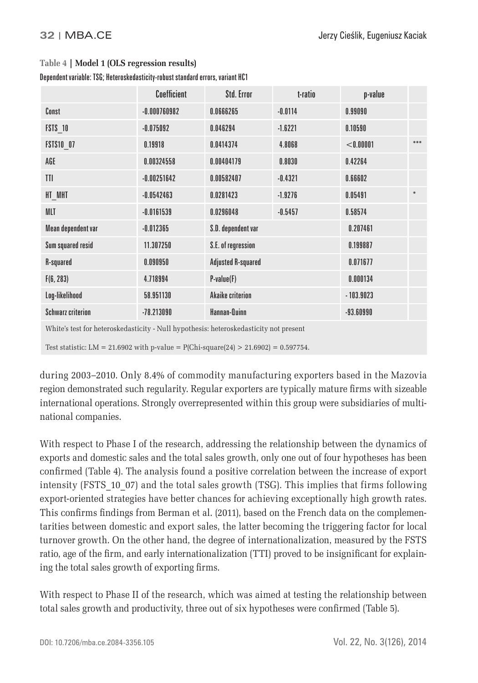|                                                                                       | Coefficient    | Std. Error                | t-ratio     | p-value     |        |  |  |  |  |
|---------------------------------------------------------------------------------------|----------------|---------------------------|-------------|-------------|--------|--|--|--|--|
| Const                                                                                 | $-0.000760982$ | 0.0666265                 | $-0.0114$   | 0.99090     |        |  |  |  |  |
| <b>FSTS 10</b>                                                                        | $-0.075092$    | 0.046294                  | $-1.6221$   | 0.10590     |        |  |  |  |  |
| <b>FSTS10 07</b>                                                                      | 0.19918        | 0.0414374                 | 4.8068      | < 0.00001   | ***    |  |  |  |  |
| AGE                                                                                   | 0.00324558     | 0.00404179                | 0.8030      | 0.42264     |        |  |  |  |  |
| TTI                                                                                   | $-0.00251642$  | 0.00582407                | $-0.4321$   | 0.66602     |        |  |  |  |  |
| HT MHT                                                                                | $-0.0542463$   | 0.0281423                 | $-1.9276$   | 0.05491     | $\ast$ |  |  |  |  |
| <b>MLT</b>                                                                            | $-0.0161539$   | 0.0296048                 | $-0.5457$   | 0.58574     |        |  |  |  |  |
| Mean dependent var                                                                    | $-0.012365$    | S.D. dependent var        |             | 0.207461    |        |  |  |  |  |
| Sum squared resid                                                                     | 11.307250      | S.E. of regression        | 0.199887    |             |        |  |  |  |  |
| R-squared                                                                             | 0.090950       | <b>Adjusted R-squared</b> |             | 0.071677    |        |  |  |  |  |
| F(6, 283)                                                                             | 4.718994       | $P-value(F)$              |             |             |        |  |  |  |  |
| Log-likelihood                                                                        | 58.951130      | <b>Akaike criterion</b>   |             | $-103.9023$ |        |  |  |  |  |
| <b>Schwarz criterion</b>                                                              | $-78.213090$   | Hannan-Quinn              | $-93.60990$ |             |        |  |  |  |  |
| White's test for heteroskedasticity - Null hypothesis: heteroskedasticity not present |                |                           |             |             |        |  |  |  |  |

#### **Table 4 | Model 1 (OLS regression results)**

Dependent variable: TSG; Heteroskedasticity-robust standard errors, variant HC1

Test statistic: LM = 21.6902 with p-value =  $P(\text{Chi-square}(24) > 21.6902) = 0.597754$ .

during 2003–2010. Only 8.4% of commodity manufacturing exporters based in the Mazovia region demonstrated such regularity. Regular exporters are typically mature firms with sizeable international operations. Strongly overrepresented within this group were subsidiaries of multinational companies.

With respect to Phase I of the research, addressing the relationship between the dynamics of exports and domestic sales and the total sales growth, only one out of four hypotheses has been confirmed (Table 4). The analysis found a positive correlation between the increase of export intensity (FSTS\_10\_07) and the total sales growth (TSG). This implies that firms following export-oriented strategies have better chances for achieving exceptionally high growth rates. This confirms findings from Berman et al. (2011), based on the French data on the complementarities between domestic and export sales, the latter becoming the triggering factor for local turnover growth. On the other hand, the degree of internationalization, measured by the FSTS ratio, age of the firm, and early internationalization (TTI) proved to be insignificant for explaining the total sales growth of exporting firms.

With respect to Phase II of the research, which was aimed at testing the relationship between total sales growth and productivity, three out of six hypotheses were confirmed (Table 5).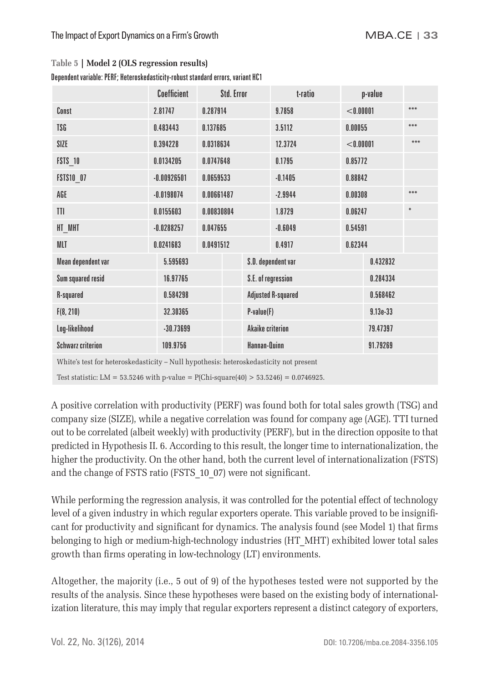|                                                                                       | Coefficient   |            | Std. Error         |                           | t-ratio           |           | p-value    |       |  |
|---------------------------------------------------------------------------------------|---------------|------------|--------------------|---------------------------|-------------------|-----------|------------|-------|--|
| Const                                                                                 | 2.81747       |            | 0.287914           |                           | 9.7858            | < 0.00001 |            | ***   |  |
| <b>TSG</b>                                                                            | 0.483443      | 0.137685   |                    | 3.5112                    |                   | 0.00055   |            | ***   |  |
| SIZE                                                                                  | 0.394228      | 0.0318634  |                    |                           | 12.3724           | < 0.00001 |            | $***$ |  |
| <b>FSTS 10</b>                                                                        | 0.0134205     | 0.0747648  |                    |                           | 0.1795            | 0.85772   |            |       |  |
| <b>FSTS10 07</b>                                                                      | $-0.00926501$ | 0.0659533  |                    |                           | $-0.1405$         |           | 0.88842    |       |  |
| AGE                                                                                   | $-0.0198074$  | 0.00661487 |                    |                           | $-2.9944$         |           | 0.00308    |       |  |
| TTI                                                                                   | 0.0155603     | 0.00830804 |                    |                           | 1.8729            |           | 0.06247    |       |  |
| HT MHT                                                                                | $-0.0288257$  | 0.047655   |                    |                           | $-0.6049$         | 0.54591   |            |       |  |
| <b>MLT</b>                                                                            | 0.0241683     | 0.0491512  |                    |                           | 0.62344<br>0.4917 |           |            |       |  |
| Mean dependent var                                                                    | 5.595693      |            |                    | S.D. dependent var        |                   |           | 0.432832   |       |  |
| Sum squared resid                                                                     | 16.97765      |            | S.E. of regression |                           | 0.284334          |           |            |       |  |
| R-squared                                                                             | 0.584298      |            |                    | <b>Adjusted R-squared</b> |                   | 0.568462  |            |       |  |
| F(8, 210)                                                                             | 32.30365      |            |                    | $P-value(F)$              |                   |           | $9.13e-33$ |       |  |
| Log-likelihood                                                                        | $-30.73699$   |            |                    | <b>Akaike criterion</b>   |                   |           | 79.47397   |       |  |
| <b>Schwarz criterion</b>                                                              | 109.9756      |            |                    | Hannan-Quinn              |                   |           | 91.79269   |       |  |
| White's test for heteroskedasticity - Null hypothesis: heteroskedasticity not present |               |            |                    |                           |                   |           |            |       |  |

Dependent variable: PERF; Heteroskedasticity-robust standard errors, variant HC1

Test statistic: LM = 53.5246 with p-value =  $P(Chi-square(40) > 53.5246) = 0.0746925$ .

A positive correlation with productivity (PERF) was found both for total sales growth (TSG) and company size (SIZE), while a negative correlation was found for company age (AGE). TTI turned out to be correlated (albeit weekly) with productivity (PERF), but in the direction opposite to that predicted in Hypothesis II. 6. According to this result, the longer time to internationalization, the higher the productivity. On the other hand, both the current level of internationalization (FSTS) and the change of FSTS ratio (FSTS 10\_07) were not significant.

While performing the regression analysis, it was controlled for the potential effect of technology level of a given industry in which regular exporters operate. This variable proved to be insignificant for productivity and significant for dynamics. The analysis found (see Model 1) that firms belonging to high or medium-high-technology industries (HT\_MHT) exhibited lower total sales growth than firms operating in low-technology (LT) environments.

Altogether, the majority (i.e., 5 out of 9) of the hypotheses tested were not supported by the results of the analysis. Since these hypotheses were based on the existing body of internationalization literature, this may imply that regular exporters represent a distinct category of exporters,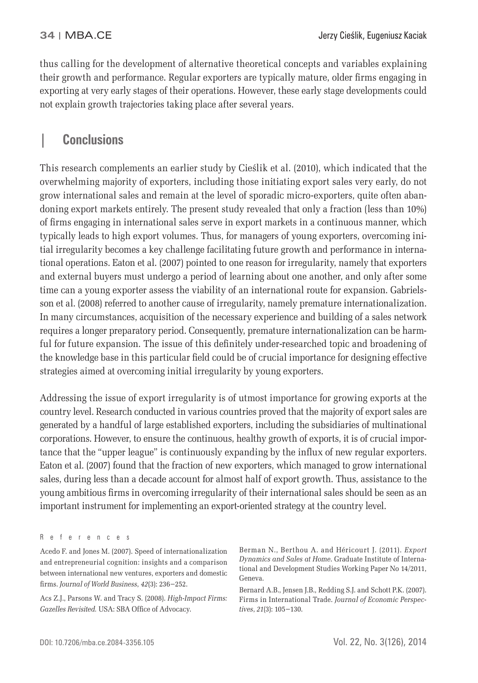thus calling for the development of alternative theoretical concepts and variables explaining their growth and performance. Regular exporters are typically mature, older firms engaging in exporting at very early stages of their operations. However, these early stage developments could not explain growth trajectories taking place after several years.

# **| Conclusions**

This research complements an earlier study by Cieślik et al. (2010), which indicated that the overwhelming majority of exporters, including those initiating export sales very early, do not grow international sales and remain at the level of sporadic micro-exporters, quite often abandoning export markets entirely. The present study revealed that only a fraction (less than 10%) of firms engaging in international sales serve in export markets in a continuous manner, which typically leads to high export volumes. Thus, for managers of young exporters, overcoming initial irregularity becomes a key challenge facilitating future growth and performance in international operations. Eaton et al. (2007) pointed to one reason for irregularity, namely that exporters and external buyers must undergo a period of learning about one another, and only after some time can a young exporter assess the viability of an international route for expansion. Gabrielsson et al. (2008) referred to another cause of irregularity, namely premature internationalization. In many circumstances, acquisition of the necessary experience and building of a sales network requires a longer preparatory period. Consequently, premature internationalization can be harmful for future expansion. The issue of this definitely under-researched topic and broadening of the knowledge base in this particular field could be of crucial importance for designing effective strategies aimed at overcoming initial irregularity by young exporters.

Addressing the issue of export irregularity is of utmost importance for growing exports at the country level. Research conducted in various countries proved that the majority of export sales are generated by a handful of large established exporters, including the subsidiaries of multinational corporations. However, to ensure the continuous, healthy growth of exports, it is of crucial importance that the "upper league" is continuously expanding by the influx of new regular exporters. Eaton et al. (2007) found that the fraction of new exporters, which managed to grow international sales, during less than a decade account for almost half of export growth. Thus, assistance to the young ambitious firms in overcoming irregularity of their international sales should be seen as an important instrument for implementing an export-oriented strategy at the country level.

Acs Z.J., Parsons W. and Tracy S. (2008). *High-Impact Firms:*  Gazelles Revisited. USA: SBA Office of Advocacy.

Berman N., Berthou A. and Héricourt J. (2011). *Export Dynamics and Sales at Home*. Graduate Institute of International and Development Studies Working Paper No 14/2011, Geneva.

Bernard A.B., Jensen J.B., Redding S.J. and Schott P.K. (2007). Firms in International Trade. *Journal of Economic Perspectives*, *21*(3): 105−130.

References

Acedo F. and Jones M. (2007). Speed of internationalization and entrepreneurial cognition: insights and a comparison between international new ventures, exporters and domestic fi rms. *Journal of World Business*, *42*(3): 236−252.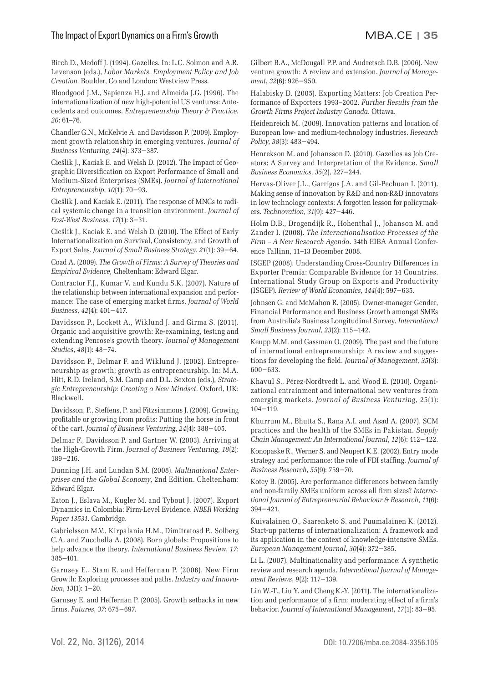#### The Impact of Export Dynamics on a Firm's GrowthMBA.CE **| 35**

Birch D., Medoff J. (1994). Gazelles. In: L.C. Solmon and A.R. Levenson (eds.), *Labor Markets, Employment Policy and Job Creation.* Boulder, Co and London: Westview Press.

Bloodgood J.M., Sapienza H.J. and Almeida J.G. (1996). The internationalization of new high-potential US ventures: Antecedents and outcomes. *Entrepreneurship Theory & Practice*, *20*: 61–76.

Chandler G.N., McKelvie A. and Davidsson P. (2009). Employment growth relationship in emerging ventures. *Journal of Business Venturing*, *24*(4): 373−387.

Cieślik J., Kaciak E. and Welsh D. (2012). The Impact of Geographic Diversification on Export Performance of Small and Medium-Sized Enterprises (SMEs). *Journal of International Entrepreneurship*, *10*(1): 70−93.

Cieślik J. and Kaciak E. (2011). The response of MNCs to radical systemic change in a transition environment. *Journal of East-West Business*, *17*(1): 3−31.

Cieślik J., Kaciak E. and Welsh D. (2010). The Effect of Early Internationalization on Survival, Consistency, and Growth of Export Sales. *Journal of Small Business Strategy*, *21*(1): 39−64.

Coad A. (2009). *The Growth of Firms: A Survey of Theories and Empirical Evidence,* Cheltenham: Edward Elgar.

Contractor F.J., Kumar V. and Kundu S.K. (2007). Nature of the relationship between international expansion and performance: The case of emerging market firms. *Journal of World Business*, *42*(4): 401−417.

Davidsson P., Lockett A., Wiklund J. and Girma S. (2011). Organic and acquisitive growth: Re-examining, testing and extending Penrose's growth theory. *Journal of Management Studies*, *48*(1): 48−74.

Davidsson P., Delmar F. and Wiklund J. (2002). Entrepreneurship as growth; growth as entrepreneurship. In: M.A. Hitt, R.D. Ireland, S.M. Camp and D.L. Sexton (eds.), *Strategic Entrepreneurship: Creating a New Mindset*. Oxford, UK: Blackwell.

Davidsson, P., Steffens, P. and Fitzsimmons J. (2009). Growing profitable or growing from profits: Putting the horse in front of the cart. *Journal of Business Venturing*, *24*(4): 388−405.

Delmar F., Davidsson P. and Gartner W. (2003). Arriving at the High-Growth Firm. *Journal of Business Venturing*, *18*(2): 189−216.

Dunning J.H. and Lundan S.M. (2008). *Multinational Enterprises and the Global Economy*, 2nd Edition. Cheltenham: Edward Elgar.

Eaton J., Eslava M., Kugler M. and Tybout J. (2007). Export Dynamics in Colombia: Firm-Level Evidence. *NBER Working Paper 13531*. Cambridge.

Gabrielsson M.V., Kirpalania H.M., Dimitratosd P., Solberg C.A. and Zucchella A. (2008). Born globals: Propositions to help advance the theory. *International Business Review*, *17*: 385–401.

Garnsey E., Stam E. and Heffernan P. (2006). New Firm Growth: Exploring processes and paths. *Industry and Innovation*, *13*(1): 1−20.

Garnsey E. and Heffernan P. (2005). Growth setbacks in new fi rms. *Futures*, *37*: 675−697.

Gilbert B.A., McDougall P.P. and Audretsch D.B. (2006). New venture growth: A review and extension. *Journal of Management*, *32*(6): 926−950.

Halabisky D. (2005). Exporting Matters: Job Creation Performance of Exporters 1993–2002. *Further Results from the Growth Firms Project Industry Canada*. Ottawa.

Heidenreich M. (2009). Innovation patterns and location of European low- and medium-technology industries. *Research Policy*, *38*(3): 483−494.

Henrekson M. and Johansson D. (2010). Gazelles as Job Creators: A Survey and Interpretation of the Evidence. *Small Business Economics*, *35*(2), 227−244.

Hervas-Oliver J.L., Garrigos J.A. and Gil-Pechuan I. (2011). Making sense of innovation by R&D and non-R&D innovators in low technology contexts: A forgotten lesson for policymakers. *Technovation*, *31*(9): 427−446.

Holm D.B., Drogendijk R., Hohenthal J., Johanson M. and Zander I. (2008). *The Internationalisation Processes of the Firm – A New Research Agenda*. 34th EIBA Annual Conference Tallinn, 11–13 December 2008.

ISGEP (2008). Understanding Cross-Country Differences in Exporter Premia: Comparable Evidence for 14 Countries. International Study Group on Exports and Productivity (ISGEP). *Review of World Economics*, *144*(4): 597−635.

Johnsen G. and McMahon R. (2005). Owner-manager Gender, Financial Performance and Business Growth amongst SMEs from Australia's Business Longitudinal Survey. *International Small Business Journal*, *23*(2): 115−142.

Keupp M.M. and Gassman O. (2009). The past and the future of international entrepreneurship: A review and suggestions for developing the field. *Journal of Management*, 35(3): 600−633.

Khavul S., Pérez-Nordtvedt L. and Wood E. (2010). Organizational entrainment and international new ventures from emerging markets. *Journal of Business Venturing*, 25(1): 104−119.

Khurrum M., Bhutta S., Rana A.I. and Asad A. (2007). SCM practices and the health of the SMEs in Pakistan. *Supply Chain Management: An International Journal*, *12*(6): 412−422.

Konopaske R., Werner S. and Neupert K.E. (2002). Entry mode strategy and performance: the role of FDI staffing. *Journal of Business Research*, *55*(9): 759−70.

Kotey B. (2005). Are performance differences between family and non-family SMEs uniform across all firm sizes? *International Journal of Entrepreneurial Behaviour & Research*, *11*(6): 394−421.

Kuivalainen O., Saarenketo S. and Puumalainen K. (2012). Start-up patterns of internationalization: A framework and its application in the context of knowledge-intensive SMEs. *European Management Journal*, *30*(4): 372−385.

Li L. (2007). Multinationality and performance: A synthetic review and research agenda. *International Journal of Management Reviews*, *9*(2): 117−139.

Lin W.-T., Liu Y. and Cheng K.-Y. (2011). The internationalization and performance of a firm: moderating effect of a firm's behavior. *Journal of International Management*, *17*(1): 83−95.